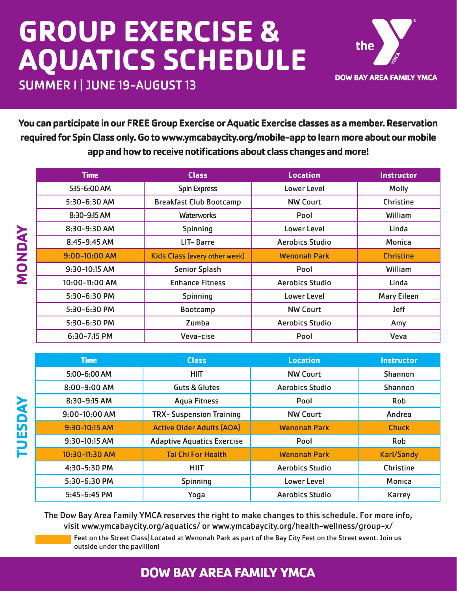## **GROUP EXERCISE & AQUATICS SCHEDULE**



SUMMER l | JUNE 19-AUGUST 13

**MONDAY**

**NONDAY** 

**TUESDAY**

TUESDAY

**You can participate in our FREE Group Exercise or Aquatic Exercise classes as a member. Reservation required for Spin Class only. Go to www.ymcabaycity.org/mobile-app to learn more about our mobile app and how to receive notifications about class changes and more!**

| <b>Time</b>       | <b>Class</b>                         | <b>Location</b>        | <b>Instructor</b>  |
|-------------------|--------------------------------------|------------------------|--------------------|
| 5:15-6:00 AM      | <b>Spin Express</b>                  | Lower Level            | <b>Molly</b>       |
| 5:30-6:30 AM      | <b>Breakfast Club Bootcamp</b>       | <b>NW Court</b>        | <b>Christine</b>   |
| 8:30-9:15 AM      | <b>Waterworks</b>                    | Pool                   | William            |
| 8:30-9:30 AM      | <b>Spinning</b>                      | <b>Lower Level</b>     | Linda              |
| $8:45 - 9:45$ AM  | LIT-Barre                            | <b>Aerobics Studio</b> | Monica             |
| $9:00 - 10:00$ AM | <b>Kids Class (every other week)</b> | <b>Wenonah Park</b>    | <b>Christine</b>   |
| 9:30-10:15 AM     | <b>Senior Splash</b>                 | Pool                   | William            |
| 10:00-11:00 AM    | <b>Enhance Fitness</b>               | <b>Aerobics Studio</b> | Linda              |
| 5:30-6:30 PM      | <b>Spinning</b>                      | Lower Level            | <b>Mary Eileen</b> |
| $5:30 - 6:30$ PM  | <b>Bootcamp</b>                      | <b>NW Court</b>        | <b>Jeff</b>        |
| 5:30-6:30 PM      | Zumba                                | <b>Aerobics Studio</b> | Amy                |
| $6:30 - 7:15$ PM  | Veva-cise                            | Pool                   | Veva               |

| <b>Time</b>      | <b>Class</b>                      | <b>Location</b>        | <b>Instructor</b> |
|------------------|-----------------------------------|------------------------|-------------------|
| 5:00-6:00 AM     | <b>HIIT</b>                       | <b>NW Court</b>        | <b>Shannon</b>    |
| $8:00 - 9:00$ AM | <b>Guts &amp; Glutes</b>          | <b>Aerobics Studio</b> | <b>Shannon</b>    |
| 8:30-9:15 AM     | <b>Aqua Fitness</b>               | Pool                   | <b>Rob</b>        |
| $9:00-10:00$ AM  | <b>TRX- Suspension Training</b>   | <b>NW Court</b>        | Andrea            |
| 9:30-10:15 AM    | <b>Active Older Adults (AOA)</b>  | <b>Wenonah Park</b>    | <b>Chuck</b>      |
| 9:30-10:15 AM    | <b>Adaptive Aquatics Exercise</b> | Pool                   | Rob               |
| 10:30-11:30 AM   | <b>Tai Chi For Health</b>         | <b>Wenonah Park</b>    | <b>Karl/Sandy</b> |
| 4:30-5:30 PM     | <b>HIIT</b>                       | <b>Aerobics Studio</b> | Christine         |
| 5:30-6:30 PM     | <b>Spinning</b>                   | Lower Level            | Monica            |
| $5:45 - 6:45$ PM | Yoga                              | <b>Aerobics Studio</b> | Karrey            |

The Dow Bay Area Family YMCA reserves the right to make changes to this schedule. For more info, visit www.ymcabaycity.org/aquatics/ or www.ymcabaycity.org/health-wellness/group-x/ Feet on the Street Class| Located at Wenonah Park as part of the Bay City Feet on the Street event. Join us

outside under the pavillion!

## **DOW BAY AREA FAMILY YMCA**